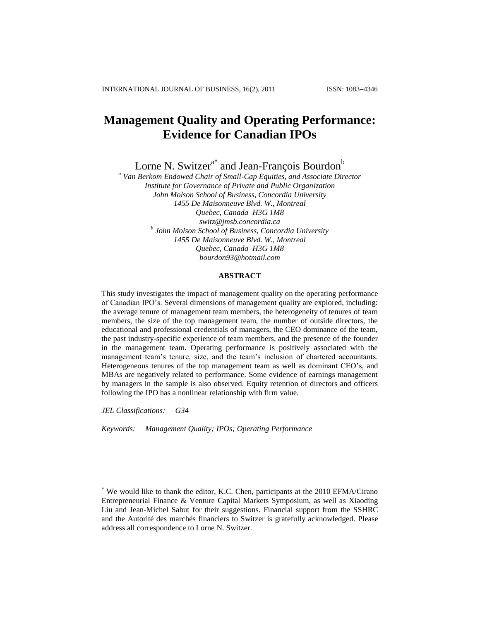# **Management Quality and Operating Performance: Evidence for Canadian IPOs**

Lorne N. Switzer<sup>a\*</sup> and Jean-François Bourdon<sup>b</sup>

*<sup>a</sup> Van Berkom Endowed Chair of Small-Cap Equities, and Associate Director Institute for Governance of Private and Public Organization John Molson School of Business, Concordia University 1455 De Maisonneuve Blvd. W., Montreal Quebec, Canada H3G 1M8 [switz@jmsb.concordia.ca](mailto:switz@jmsb.concordia.ca) b John Molson School of Business, Concordia University 1455 De Maisonneuve Blvd. W., Montreal Quebec, Canada H3G 1M8 bourdon93@hotmail.com*

## **ABSTRACT**

This study investigates the impact of management quality on the operating performance of Canadian IPO's. Several dimensions of management quality are explored, including: the average tenure of management team members, the heterogeneity of tenures of team members, the size of the top management team, the number of outside directors, the educational and professional credentials of managers, the CEO dominance of the team, the past industry-specific experience of team members, and the presence of the founder in the management team. Operating performance is positively associated with the management team's tenure, size, and the team's inclusion of chartered accountants. Heterogeneous tenures of the top management team as well as dominant CEO's, and MBAs are negatively related to performance. Some evidence of earnings management by managers in the sample is also observed. Equity retention of directors and officers following the IPO has a nonlinear relationship with firm value.

*JEL Classifications: G34*

*Keywords: Management Quality; IPOs; Operating Performance*

<sup>\*</sup> We would like to thank the editor, K.C. Chen, participants at the 2010 EFMA/Cirano Entrepreneurial Finance & Venture Capital Markets Symposium, as well as Xiaoding Liu and Jean-Michel Sahut for their suggestions. Financial support from the SSHRC and the Autorité des marchés financiers to Switzer is gratefully acknowledged. Please address all correspondence to Lorne N. Switzer.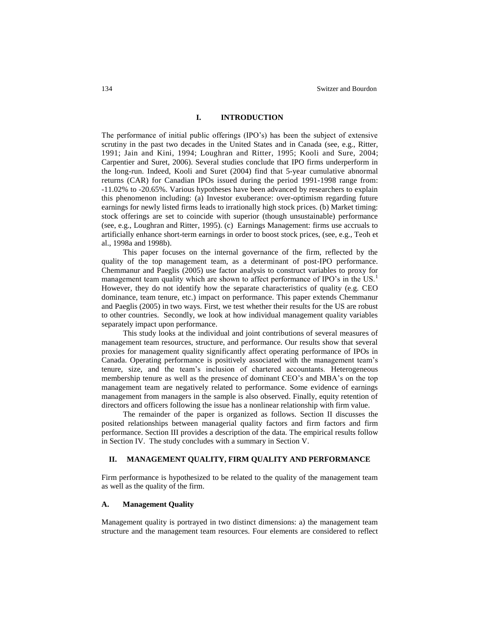#### **I. INTRODUCTION**

The performance of initial public offerings (IPO's) has been the subject of extensive scrutiny in the past two decades in the United States and in Canada (see, e.g., Ritter, 1991; Jain and Kini, 1994; Loughran and Ritter, 1995; Kooli and Sure, 2004; Carpentier and Suret, 2006). Several studies conclude that IPO firms underperform in the long-run. Indeed, Kooli and Suret (2004) find that 5-year cumulative abnormal returns (CAR) for Canadian IPOs issued during the period 1991-1998 range from: -11.02% to -20.65%. Various hypotheses have been advanced by researchers to explain this phenomenon including: (a) Investor exuberance: over-optimism regarding future earnings for newly listed firms leads to irrationally high stock prices. (b) Market timing: stock offerings are set to coincide with superior (though unsustainable) performance (see, e.g., Loughran and Ritter, 1995). (c) Earnings Management: firms use accruals to artificially enhance short-term earnings in order to boost stock prices, (see, e.g., Teoh et al., 1998a and 1998b).

This paper focuses on the internal governance of the firm, reflected by the quality of the top management team, as a determinant of post-IPO performance. Chemmanur and Paeglis (2005) use factor analysis to construct variables to proxy for management team quality which are shown to affect performance of IPO's in the US.<sup>1</sup> However, they do not identify how the separate characteristics of quality (e.g. CEO dominance, team tenure, etc.) impact on performance. This paper extends Chemmanur and Paeglis (2005) in two ways. First, we test whether their results for the US are robust to other countries. Secondly, we look at how individual management quality variables separately impact upon performance.

This study looks at the individual and joint contributions of several measures of management team resources, structure, and performance. Our results show that several proxies for management quality significantly affect operating performance of IPOs in Canada. Operating performance is positively associated with the management team's tenure, size, and the team's inclusion of chartered accountants. Heterogeneous membership tenure as well as the presence of dominant CEO's and MBA's on the top management team are negatively related to performance. Some evidence of earnings management from managers in the sample is also observed. Finally, equity retention of directors and officers following the issue has a nonlinear relationship with firm value.

The remainder of the paper is organized as follows. Section II discusses the posited relationships between managerial quality factors and firm factors and firm performance. Section III provides a description of the data. The empirical results follow in Section IV. The study concludes with a summary in Section V.

#### **II. MANAGEMENT QUALITY, FIRM QUALITY AND PERFORMANCE**

Firm performance is hypothesized to be related to the quality of the management team as well as the quality of the firm.

#### **A. Management Quality**

Management quality is portrayed in two distinct dimensions: a) the management team structure and the management team resources. Four elements are considered to reflect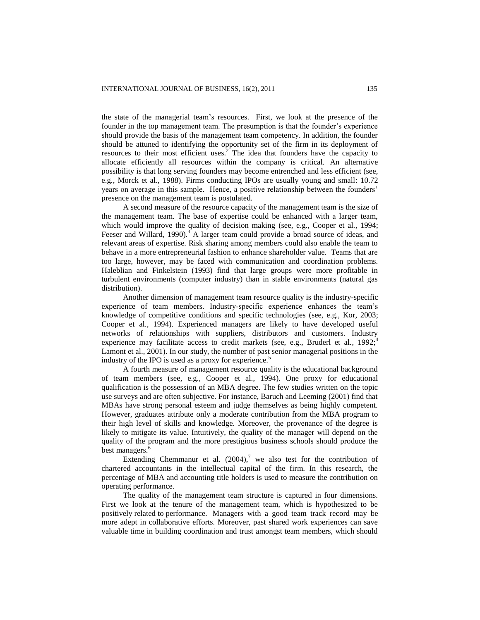the state of the managerial team's resources. First, we look at the presence of the founder in the top management team. The presumption is that the founder's experience should provide the basis of the management team competency. In addition, the founder should be attuned to identifying the opportunity set of the firm in its deployment of resources to their most efficient uses.<sup>2</sup> The idea that founders have the capacity to allocate efficiently all resources within the company is critical. An alternative possibility is that long serving founders may become entrenched and less efficient (see, e.g., Morck et al., 1988). Firms conducting IPOs are usually young and small: 10.72 years on average in this sample. Hence, a positive relationship between the founders' presence on the management team is postulated.

A second measure of the resource capacity of the management team is the size of the management team. The base of expertise could be enhanced with a larger team, which would improve the quality of decision making (see, e.g., Cooper et al., 1994; Feeser and Willard, 1990).<sup>3</sup> A larger team could provide a broad source of ideas, and relevant areas of expertise. Risk sharing among members could also enable the team to behave in a more entrepreneurial fashion to enhance shareholder value. Teams that are too large, however, may be faced with communication and coordination problems. Haleblian and Finkelstein (1993) find that large groups were more profitable in turbulent environments (computer industry) than in stable environments (natural gas distribution).

Another dimension of management team resource quality is the industry-specific experience of team members. Industry-specific experience enhances the team's knowledge of competitive conditions and specific technologies (see, e.g., Kor, 2003; Cooper et al., 1994). Experienced managers are likely to have developed useful networks of relationships with suppliers, distributors and customers. Industry experience may facilitate access to credit markets (see, e.g., Bruderl et al., 1992;<sup>4</sup> Lamont et al., 2001). In our study, the number of past senior managerial positions in the industry of the IPO is used as a proxy for experience.<sup>5</sup>

A fourth measure of management resource quality is the educational background of team members (see, e.g., Cooper et al., 1994). One proxy for educational qualification is the possession of an MBA degree. The few studies written on the topic use surveys and are often subjective. For instance, Baruch and Leeming (2001) find that MBAs have strong personal esteem and judge themselves as being highly competent. However, graduates attribute only a moderate contribution from the MBA program to their high level of skills and knowledge. Moreover, the provenance of the degree is likely to mitigate its value. Intuitively, the quality of the manager will depend on the quality of the program and the more prestigious business schools should produce the best managers.<sup>4</sup>

Extending Chemmanur et al.  $(2004)$ ,<sup>7</sup> we also test for the contribution of chartered accountants in the intellectual capital of the firm. In this research, the percentage of MBA and accounting title holders is used to measure the contribution on operating performance.

The quality of the management team structure is captured in four dimensions. First we look at the tenure of the management team, which is hypothesized to be positively related to performance. Managers with a good team track record may be more adept in collaborative efforts. Moreover, past shared work experiences can save valuable time in building coordination and trust amongst team members, which should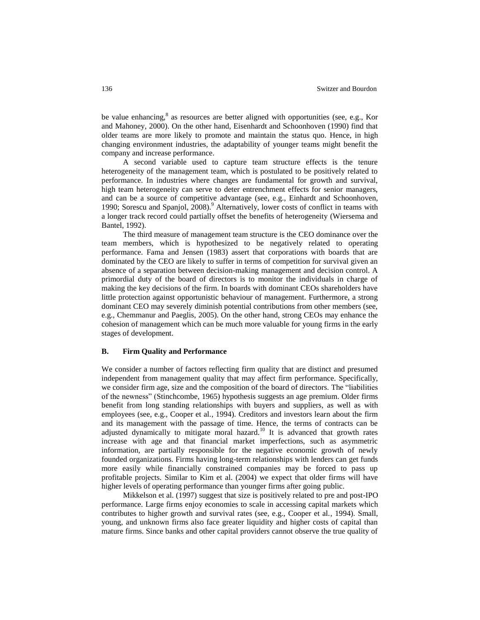be value enhancing,<sup>8</sup> as resources are better aligned with opportunities (see, e.g., Kor and Mahoney, 2000). On the other hand, Eisenhardt and Schoonhoven (1990) find that older teams are more likely to promote and maintain the status quo. Hence, in high changing environment industries, the adaptability of younger teams might benefit the company and increase performance.

A second variable used to capture team structure effects is the tenure heterogeneity of the management team, which is postulated to be positively related to performance. In industries where changes are fundamental for growth and survival, high team heterogeneity can serve to deter entrenchment effects for senior managers, and can be a source of competitive advantage (see, e.g., Einhardt and Schoonhoven, 1990; Sorescu and Spanjol, 2008).<sup>9</sup> Alternatively, lower costs of conflict in teams with a longer track record could partially offset the benefits of heterogeneity (Wiersema and Bantel, 1992).

The third measure of management team structure is the CEO dominance over the team members, which is hypothesized to be negatively related to operating performance. Fama and Jensen (1983) assert that corporations with boards that are dominated by the CEO are likely to suffer in terms of competition for survival given an absence of a separation between decision-making management and decision control. A primordial duty of the board of directors is to monitor the individuals in charge of making the key decisions of the firm. In boards with dominant CEOs shareholders have little protection against opportunistic behaviour of management. Furthermore, a strong dominant CEO may severely diminish potential contributions from other members (see, e.g., Chemmanur and Paeglis, 2005). On the other hand, strong CEOs may enhance the cohesion of management which can be much more valuable for young firms in the early stages of development.

#### **B. Firm Quality and Performance**

We consider a number of factors reflecting firm quality that are distinct and presumed independent from management quality that may affect firm performance. Specifically, we consider firm age, size and the composition of the board of directors. The "liabilities of the newness" (Stinchcombe, 1965) hypothesis suggests an age premium. Older firms benefit from long standing relationships with buyers and suppliers, as well as with employees (see, e.g., Cooper et al., 1994). Creditors and investors learn about the firm and its management with the passage of time. Hence, the terms of contracts can be adjusted dynamically to mitigate moral hazard.<sup>10</sup> It is advanced that growth rates increase with age and that financial market imperfections, such as asymmetric information, are partially responsible for the negative economic growth of newly founded organizations. Firms having long-term relationships with lenders can get funds more easily while financially constrained companies may be forced to pass up profitable projects. Similar to Kim et al. (2004) we expect that older firms will have higher levels of operating performance than younger firms after going public.

Mikkelson et al. (1997) suggest that size is positively related to pre and post-IPO performance. Large firms enjoy economies to scale in accessing capital markets which contributes to higher growth and survival rates (see, e.g., Cooper et al., 1994). Small, young, and unknown firms also face greater liquidity and higher costs of capital than mature firms. Since banks and other capital providers cannot observe the true quality of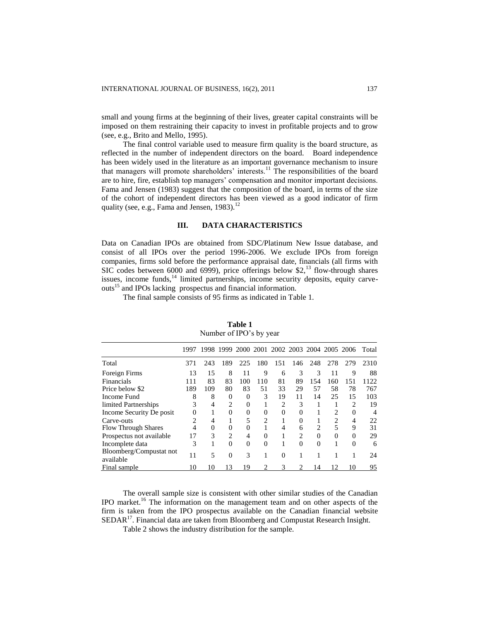small and young firms at the beginning of their lives, greater capital constraints will be imposed on them restraining their capacity to invest in profitable projects and to grow (see, e.g., Brito and Mello, 1995).

The final control variable used to measure firm quality is the board structure, as reflected in the number of independent directors on the board. Board independence has been widely used in the literature as an important governance mechanism to insure that managers will promote shareholders' interests.<sup>11</sup> The responsibilities of the board are to hire, fire, establish top managers' compensation and monitor important decisions. Fama and Jensen (1983) suggest that the composition of the board, in terms of the size of the cohort of independent directors has been viewed as a good indicator of firm quality (see, e.g., Fama and Jensen, 1983).<sup>12</sup>

#### **III. DATA CHARACTERISTICS**

Data on Canadian IPOs are obtained from SDC/Platinum New Issue database, and consist of all IPOs over the period 1996-2006. We exclude IPOs from foreign companies, firms sold before the performance appraisal date, financials (all firms with SIC codes between 6000 and 6999), price offerings below \$2,<sup>13</sup> flow-through shares issues, income funds,<sup>14</sup> limited partnerships, income security deposits, equity carveouts<sup>15</sup> and IPOs lacking prospectus and financial information.

The final sample consists of 95 firms as indicated in Table 1.

|                                      | 1997     |          | 1998 1999      |          |          | 2000 2001 2002 2003 2004 2005 2006 |          |          |                |          | Total          |
|--------------------------------------|----------|----------|----------------|----------|----------|------------------------------------|----------|----------|----------------|----------|----------------|
| Total                                | 371      | 243      | 189            | 225      | 180      | 151                                | 146      | 248      | 278            | 279      | 2310           |
| Foreign Firms                        | 13       | 15       | 8              | 11       | 9        | 6                                  | 3        | 3        | 11             | 9        | 88             |
| Financials                           | 111      | 83       | 83             | 100      | 110      | 81                                 | 89       | 154      | 160            | 151      | 1122           |
| Price below \$2                      | 189      | 109      | 80             | 83       | 51       | 33                                 | 29       | 57       | 58             | 78       | 767            |
| Income Fund                          | 8        | 8        | 0              | $\Omega$ | 3        | 19                                 | 11       | 14       | 25             | 15       | 103            |
| limited Partnerships                 | 3        | 4        | 2              | $\Omega$ |          | 2                                  | 3        |          |                | 2        | 19             |
| Income Security De posit             | $\Omega$ |          | $\Omega$       | $\Omega$ | $\Omega$ | $\Omega$                           | $\Omega$ |          | $\mathfrak{D}$ | $\Omega$ | $\overline{4}$ |
| Carve-outs                           | 2        | 4        |                | 5        | 2        |                                    | 0        |          | 2              | 4        | 22             |
| <b>Flow Through Shares</b>           | 4        | $\Omega$ | 0              | $\Omega$ |          |                                    | 6        | 2        | 5              | 9        | 31             |
| Prospectus not available             | 17       | 3        | $\mathfrak{D}$ | 4        | $\Omega$ |                                    | 2        | $\Omega$ | $\Omega$       | $\Omega$ | 29             |
| Incomplete data                      | 3        |          | $\Omega$       | $\Omega$ | $\Omega$ |                                    | $\Omega$ | $\Omega$ |                | $\Omega$ | 6              |
| Bloomberg/Compustat not<br>available | 11       | 5        | $\Omega$       | 3        |          | $\Omega$                           |          |          |                |          | 24             |
| Final sample                         | 10       | 10       | 13             | 19       |          | 3                                  |          | 14       | 12             | 10       | 95             |

**Table 1** Number of IPO's by year

The overall sample size is consistent with other similar studies of the Canadian IPO market.<sup>16</sup> The information on the management team and on other aspects of the firm is taken from the IPO prospectus available on the Canadian financial website SEDAR<sup>17</sup>. Financial data are taken from Bloomberg and Compustat Research Insight.

Table 2 shows the industry distribution for the sample.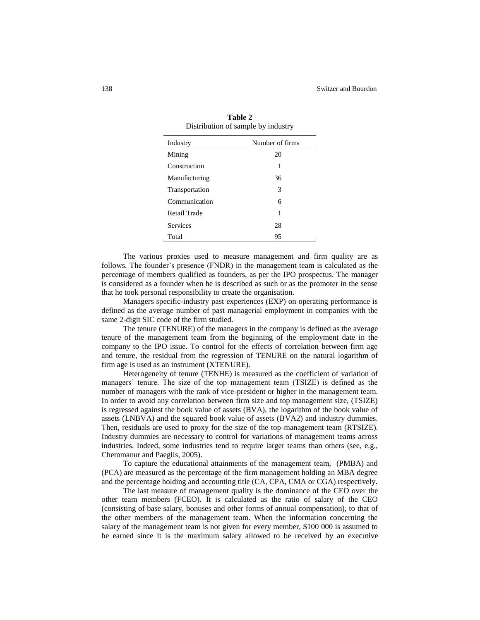| Industry       | Number of firms |
|----------------|-----------------|
| Mining         | 20              |
| Construction   | 1               |
| Manufacturing  | 36              |
| Transportation | 3               |
| Communication  | 6               |
| Retail Trade   | 1               |
| Services       | 28              |
| Total          | 95              |

**Table 2** Distribution of sample by industry

The various proxies used to measure management and firm quality are as follows. The founder's presence (FNDR) in the management team is calculated as the percentage of members qualified as founders, as per the IPO prospectus. The manager is considered as a founder when he is described as such or as the promoter in the sense that he took personal responsibility to create the organisation.

Managers specific-industry past experiences (EXP) on operating performance is defined as the average number of past managerial employment in companies with the same 2-digit SIC code of the firm studied.

The tenure (TENURE) of the managers in the company is defined as the average tenure of the management team from the beginning of the employment date in the company to the IPO issue. To control for the effects of correlation between firm age and tenure, the residual from the regression of TENURE on the natural logarithm of firm age is used as an instrument (XTENURE).

Heterogeneity of tenure (TENHE) is measured as the coefficient of variation of managers' tenure. The size of the top management team (TSIZE) is defined as the number of managers with the rank of vice-president or higher in the management team. In order to avoid any correlation between firm size and top management size, (TSIZE) is regressed against the book value of assets (BVA), the logarithm of the book value of assets (LNBVA) and the squared book value of assets (BVA2) and industry dummies. Then, residuals are used to proxy for the size of the top-management team (RTSIZE). Industry dummies are necessary to control for variations of management teams across industries. Indeed, some industries tend to require larger teams than others (see, e.g., Chemmanur and Paeglis, 2005).

To capture the educational attainments of the management team, (PMBA) and (PCA) are measured as the percentage of the firm management holding an MBA degree and the percentage holding and accounting title (CA, CPA, CMA or CGA) respectively.

The last measure of management quality is the dominance of the CEO over the other team members (FCEO). It is calculated as the ratio of salary of the CEO (consisting of base salary, bonuses and other forms of annual compensation), to that of the other members of the management team. When the information concerning the salary of the management team is not given for every member, \$100 000 is assumed to be earned since it is the maximum salary allowed to be received by an executive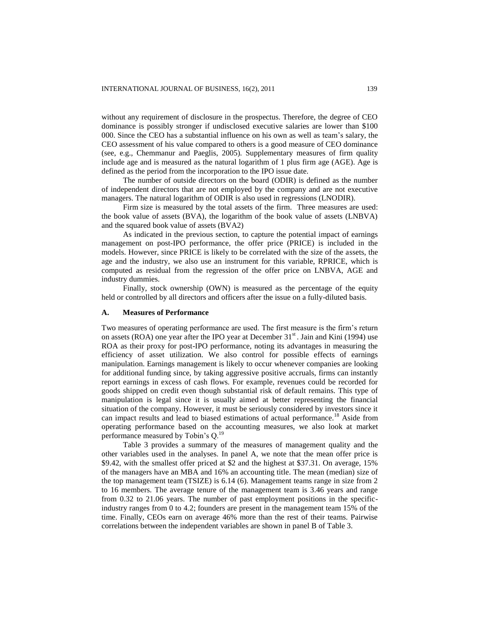without any requirement of disclosure in the prospectus. Therefore, the degree of CEO dominance is possibly stronger if undisclosed executive salaries are lower than \$100 000. Since the CEO has a substantial influence on his own as well as team's salary, the CEO assessment of his value compared to others is a good measure of CEO dominance (see, e.g., Chemmanur and Paeglis, 2005). Supplementary measures of firm quality include age and is measured as the natural logarithm of 1 plus firm age (AGE). Age is defined as the period from the incorporation to the IPO issue date.

The number of outside directors on the board (ODIR) is defined as the number of independent directors that are not employed by the company and are not executive managers. The natural logarithm of ODIR is also used in regressions (LNODIR).

Firm size is measured by the total assets of the firm. Three measures are used: the book value of assets (BVA), the logarithm of the book value of assets (LNBVA) and the squared book value of assets (BVA2)

As indicated in the previous section, to capture the potential impact of earnings management on post-IPO performance, the offer price (PRICE) is included in the models. However, since PRICE is likely to be correlated with the size of the assets, the age and the industry, we also use an instrument for this variable, RPRICE, which is computed as residual from the regression of the offer price on LNBVA, AGE and industry dummies.

Finally, stock ownership (OWN) is measured as the percentage of the equity held or controlled by all directors and officers after the issue on a fully-diluted basis.

#### **A. Measures of Performance**

Two measures of operating performance are used. The first measure is the firm's return on assets (ROA) one year after the IPO year at December  $31<sup>st</sup>$ . Jain and Kini (1994) use ROA as their proxy for post-IPO performance, noting its advantages in measuring the efficiency of asset utilization. We also control for possible effects of earnings manipulation. Earnings management is likely to occur whenever companies are looking for additional funding since, by taking aggressive positive accruals, firms can instantly report earnings in excess of cash flows. For example, revenues could be recorded for goods shipped on credit even though substantial risk of default remains. This type of manipulation is legal since it is usually aimed at better representing the financial situation of the company. However, it must be seriously considered by investors since it can impact results and lead to biased estimations of actual performance.<sup>18</sup> Aside from operating performance based on the accounting measures, we also look at market performance measured by Tobin's Q.<sup>19</sup>

Table 3 provides a summary of the measures of management quality and the other variables used in the analyses. In panel A, we note that the mean offer price is \$9.42, with the smallest offer priced at \$2 and the highest at \$37.31. On average, 15% of the managers have an MBA and 16% an accounting title. The mean (median) size of the top management team (TSIZE) is 6.14 (6). Management teams range in size from 2 to 16 members. The average tenure of the management team is 3.46 years and range from 0.32 to 21.06 years. The number of past employment positions in the specificindustry ranges from 0 to 4.2; founders are present in the management team 15% of the time. Finally, CEOs earn on average 46% more than the rest of their teams. Pairwise correlations between the independent variables are shown in panel B of Table 3.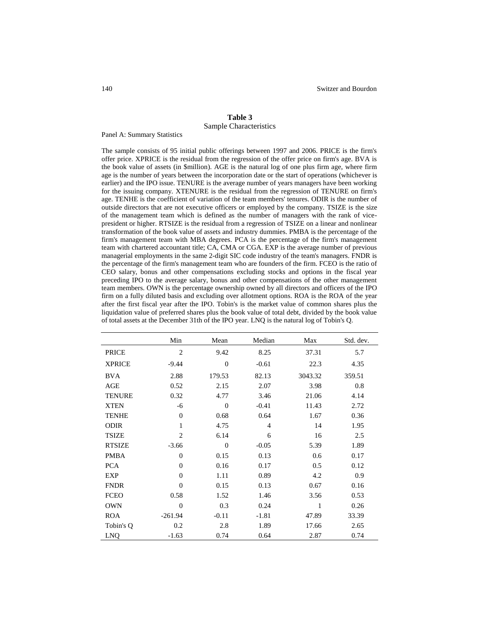### **Table 3** Sample Characteristics

Panel A: Summary Statistics

The sample consists of 95 initial public offerings between 1997 and 2006. PRICE is the firm's offer price. XPRICE is the residual from the regression of the offer price on firm's age. BVA is the book value of assets (in \$million). AGE is the natural log of one plus firm age, where firm age is the number of years between the incorporation date or the start of operations (whichever is earlier) and the IPO issue. TENURE is the average number of years managers have been working for the issuing company. XTENURE is the residual from the regression of TENURE on firm's age. TENHE is the coefficient of variation of the team members' tenures. ODIR is the number of outside directors that are not executive officers or employed by the company. TSIZE is the size of the management team which is defined as the number of managers with the rank of vicepresident or higher. RTSIZE is the residual from a regression of TSIZE on a linear and nonlinear transformation of the book value of assets and industry dummies. PMBA is the percentage of the firm's management team with MBA degrees. PCA is the percentage of the firm's management team with chartered accountant title; CA, CMA or CGA. EXP is the average number of previous managerial employments in the same 2-digit SIC code industry of the team's managers. FNDR is the percentage of the firm's management team who are founders of the firm. FCEO is the ratio of CEO salary, bonus and other compensations excluding stocks and options in the fiscal year preceding IPO to the average salary, bonus and other compensations of the other management team members. OWN is the percentage ownership owned by all directors and officers of the IPO firm on a fully diluted basis and excluding over allotment options. ROA is the ROA of the year after the first fiscal year after the IPO. Tobin's is the market value of common shares plus the liquidation value of preferred shares plus the book value of total debt, divided by the book value of total assets at the December 31th of the IPO year. LNQ is the natural log of Tobin's Q.

|               | Min            | Mean           | Median         | Max     | Std. dev. |
|---------------|----------------|----------------|----------------|---------|-----------|
| <b>PRICE</b>  | $\overline{2}$ | 9.42           | 8.25           | 37.31   | 5.7       |
| <b>XPRICE</b> | $-9.44$        | $\overline{0}$ | $-0.61$        | 22.3    | 4.35      |
| <b>BVA</b>    | 2.88           | 179.53         | 82.13          | 3043.32 | 359.51    |
| AGE           | 0.52           | 2.15           | 2.07           | 3.98    | 0.8       |
| <b>TENURE</b> | 0.32           | 4.77           | 3.46           | 21.06   | 4.14      |
| <b>XTEN</b>   | -6             | $\overline{0}$ | $-0.41$        | 11.43   | 2.72      |
| <b>TENHE</b>  | $\theta$       | 0.68           | 0.64           | 1.67    | 0.36      |
| <b>ODIR</b>   | 1              | 4.75           | $\overline{4}$ | 14      | 1.95      |
| <b>TSIZE</b>  | $\overline{c}$ | 6.14           | 6              | 16      | 2.5       |
| <b>RTSIZE</b> | $-3.66$        | $\Omega$       | $-0.05$        | 5.39    | 1.89      |
| <b>PMBA</b>   | $\mathbf{0}$   | 0.15           | 0.13           | 0.6     | 0.17      |
| <b>PCA</b>    | $\theta$       | 0.16           | 0.17           | 0.5     | 0.12      |
| EXP           | $\theta$       | 1.11           | 0.89           | 4.2     | 0.9       |
| <b>FNDR</b>   | $\theta$       | 0.15           | 0.13           | 0.67    | 0.16      |
| <b>FCEO</b>   | 0.58           | 1.52           | 1.46           | 3.56    | 0.53      |
| <b>OWN</b>    | $\Omega$       | 0.3            | 0.24           | 1       | 0.26      |
| <b>ROA</b>    | $-261.94$      | $-0.11$        | $-1.81$        | 47.89   | 33.39     |
| Tobin's Q     | 0.2            | 2.8            | 1.89           | 17.66   | 2.65      |
| LNQ           | $-1.63$        | 0.74           | 0.64           | 2.87    | 0.74      |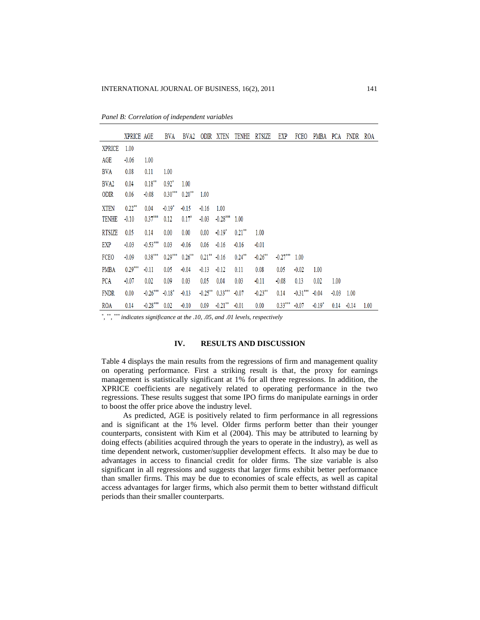|  | Panel B: Correlation of independent variables |
|--|-----------------------------------------------|
|--|-----------------------------------------------|

|                  | XPRICE AGE |            | <b>BVA</b> | BVA <sub>2</sub> |           | ODIR XTEN          | <b>TENHE</b> | <b>RTSIZE</b> | EXP        | FCEO       | PMBA     | PCA     | FNDR    | ROA  |
|------------------|------------|------------|------------|------------------|-----------|--------------------|--------------|---------------|------------|------------|----------|---------|---------|------|
| <b>XPRICE</b>    | 1.00       |            |            |                  |           |                    |              |               |            |            |          |         |         |      |
| AGE              | $-0.06$    | 1.00       |            |                  |           |                    |              |               |            |            |          |         |         |      |
| BVA              | 0.08       | 0.11       | 1.00       |                  |           |                    |              |               |            |            |          |         |         |      |
| BVA <sub>2</sub> | 0.04       | $0.18***$  | $0.92*$    | 1.00             |           |                    |              |               |            |            |          |         |         |      |
| ODIR             | 0.06       | $-0.08$    | $0.30***$  | $0.20***$        | 1.00      |                    |              |               |            |            |          |         |         |      |
| <b>XTEN</b>      | $0.22***$  | 0.04       | $-0.19*$   | $-0.15$          | $-0.16$   | 1.00               |              |               |            |            |          |         |         |      |
| <b>TENHE</b>     | $-0.10$    | $0.37***$  | 0.12       | $0.17*$          | $-0.03$   | $-0.28***$         | 1.00         |               |            |            |          |         |         |      |
| <b>RTSIZE</b>    | 0.05       | 0.14       | 0.00       | 0.00             | 0.00      | $-0.19*$           | $0.21***$    | 1.00          |            |            |          |         |         |      |
| EXP              | $-0.03$    | $0.53***$  | 0.03       | $-0.06$          | 0.06      | $-0.16$            | $-0.16$      | $-0.01$       |            |            |          |         |         |      |
| FCEO             | $-0.09$    | $0.38***$  | $0.29***$  | $0.26***$        | $0.21***$ | $-0.16$            | $0.24***$    | $-0.26***$    | $-0.27***$ | 1.00       |          |         |         |      |
| <b>PMBA</b>      | $0.29***$  | $-0.11$    | 0.05       | $-0.04$          | $-0.13$   | $-0.12$            | 0.11         | 0.08          | 0.05       | $-0.02$    | 1.00     |         |         |      |
| <b>PCA</b>       | $-0.07$    | 0.02       | 0.09       | 0.03             | 0.05      | 0.04               | 0.03         | $-0.11$       | $-0.08$    | 0.13       | 0.02     | 1.00    |         |      |
| <b>FNDR</b>      | 0.00       | $-0.26***$ | $-0.18*$   | $-0.13$          |           | $-0.25***$ 0.33*** | $-0.07$      | $0.23***$     | 0.14       | $-0.31***$ | $-0.04$  | $-0.03$ | 1.00    |      |
| ROA              | 0.14       | $-0.28***$ | 0.02       | $-0.10$          | 0.09      | $0.21***$          | $-0.01$      | 0.00          | $0.33***$  | $-0.07$    | $-0.19*$ | 0.14    | $-0.14$ | 1.00 |

*\* , \*\* , \*\*\* indicates significance at the .10, .05, and .01 levels, respectively*

#### **IV. RESULTS AND DISCUSSION**

Table 4 displays the main results from the regressions of firm and management quality on operating performance. First a striking result is that, the proxy for earnings management is statistically significant at 1% for all three regressions. In addition, the XPRICE coefficients are negatively related to operating performance in the two regressions. These results suggest that some IPO firms do manipulate earnings in order to boost the offer price above the industry level.

As predicted, AGE is positively related to firm performance in all regressions and is significant at the 1% level. Older firms perform better than their younger counterparts, consistent with Kim et al (2004). This may be attributed to learning by doing effects (abilities acquired through the years to operate in the industry), as well as time dependent network, customer/supplier development effects. It also may be due to advantages in access to financial credit for older firms. The size variable is also significant in all regressions and suggests that larger firms exhibit better performance than smaller firms. This may be due to economies of scale effects, as well as capital access advantages for larger firms, which also permit them to better withstand difficult periods than their smaller counterparts.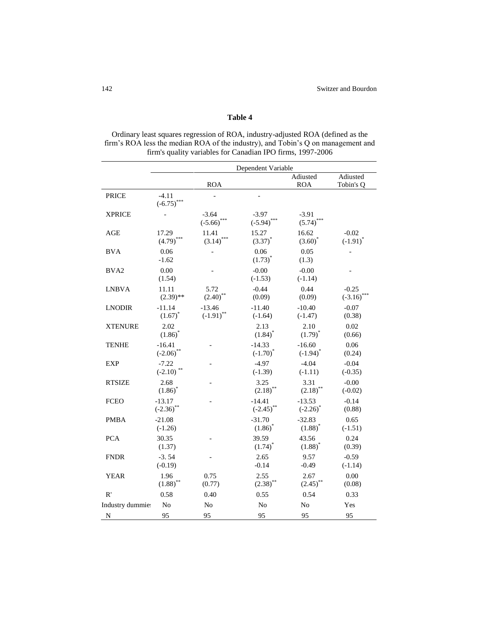# **Table 4**

Ordinary least squares regression of ROA, industry-adjusted ROA (defined as the firm's ROA less the median ROA of the industry), and Tobin's Q on management and firm's quality variables for Canadian IPO firms, 1997-2006

|                  | Dependent Variable             |                          |                                |                                |                          |  |  |  |  |
|------------------|--------------------------------|--------------------------|--------------------------------|--------------------------------|--------------------------|--|--|--|--|
|                  |                                | <b>ROA</b>               |                                | Adiusted<br><b>ROA</b>         | Adiusted<br>Tobin's Q    |  |  |  |  |
| <b>PRICE</b>     | $-4.11$<br>$(-6.75)$ ***       |                          |                                |                                |                          |  |  |  |  |
| <b>XPRICE</b>    |                                | $-3.64$<br>$(-5.66)$ *** | $-3.97$<br>$(-5.94)$           | $-3.91$<br>(5.74)              |                          |  |  |  |  |
| AGE              | 17.29<br>(4.79)                | 11.41<br>(3.14)          | 15.27<br>$(3.37)$ <sup>*</sup> | 16.62<br>$(3.60)$ <sup>*</sup> | $-0.02$<br>$(-1.91)^{*}$ |  |  |  |  |
| <b>BVA</b>       | 0.06<br>$-1.62$                |                          | 0.06<br>$(1.73)^{*}$           | 0.05<br>(1.3)                  |                          |  |  |  |  |
| BVA <sub>2</sub> | 0.00<br>(1.54)                 |                          | $-0.00$<br>$(-1.53)$           | $-0.00$<br>$(-1.14)$           |                          |  |  |  |  |
| <b>LNBVA</b>     | 11.11<br>$(2.39)$ **           | 5.72<br>(2.40)           | $-0.44$<br>(0.09)              | 0.44<br>(0.09)                 | $-0.25$<br>$(-3.16)$     |  |  |  |  |
| <b>LNODIR</b>    | $-11.14$<br>$(1.67)^{*}$       | $-13.46$<br>$(-1.91)$ ** | $-11.40$<br>$(-1.64)$          | $-10.40$<br>$(-1.47)$          | $-0.07$<br>(0.38)        |  |  |  |  |
| <b>XTENURE</b>   | 2.02<br>$(1.86)$ <sup>*</sup>  |                          | 2.13<br>$(1.84)$ <sup>*</sup>  | 2.10<br>$(1.79)^{*}$           | 0.02<br>(0.66)           |  |  |  |  |
| <b>TENHE</b>     | $-16.41$<br>$(-2.06)$ **       |                          | $-14.33$<br>$(-1.70)^{*}$      | $-16.60$<br>$(-1.94)^{*}$      | 0.06<br>(0.24)           |  |  |  |  |
| <b>EXP</b>       | $-7.22$<br>$(-2.10)$           |                          | $-4.97$<br>$(-1.39)$           | $-4.04$<br>$(-1.11)$           | $-0.04$<br>$(-0.35)$     |  |  |  |  |
| <b>RTSIZE</b>    | 2.68<br>$(1.86)^{*}$           |                          | 3.25<br>$(2.18)$ <sup>**</sup> | 3.31<br>$(2.18)$ **            | $-0.00$<br>$(-0.02)$     |  |  |  |  |
| <b>FCEO</b>      | $-13.17$<br>$(-2.36)$ **       |                          | $-14.41$<br>$(-2.45)$ **       | $-13.53$<br>$(-2.26)^*$        | $-0.14$<br>(0.88)        |  |  |  |  |
| <b>PMBA</b>      | $-21.08$<br>$(-1.26)$          |                          | $-31.70$<br>(1.86)             | $-32.83$<br>$(1.88)^{*}$       | 0.65<br>$(-1.51)$        |  |  |  |  |
| <b>PCA</b>       | 30.35<br>(1.37)                |                          | 39.59<br>$(1.74)^{*}$          | 43.56<br>$(1.88)^{*}$          | 0.24<br>(0.39)           |  |  |  |  |
| <b>FNDR</b>      | $-3.54$<br>$(-0.19)$           |                          | 2.65<br>$-0.14$                | 9.57<br>-0.49                  | $-0.59$<br>$(-1.14)$     |  |  |  |  |
| <b>YEAR</b>      | 1.96<br>$(1.88)$ <sup>**</sup> | 0.75<br>(0.77)           | 2.55<br>$(2.38)$ **            | 2.67<br>$(2.45)$ <sup>**</sup> | 0.00<br>(0.08)           |  |  |  |  |
| R'               | 0.58                           | 0.40                     | 0.55                           | 0.54                           | 0.33                     |  |  |  |  |
| Industry dummies | No                             | No                       | No                             | No                             | Yes                      |  |  |  |  |
| N                | 95                             | 95                       | 95                             | 95                             | 95                       |  |  |  |  |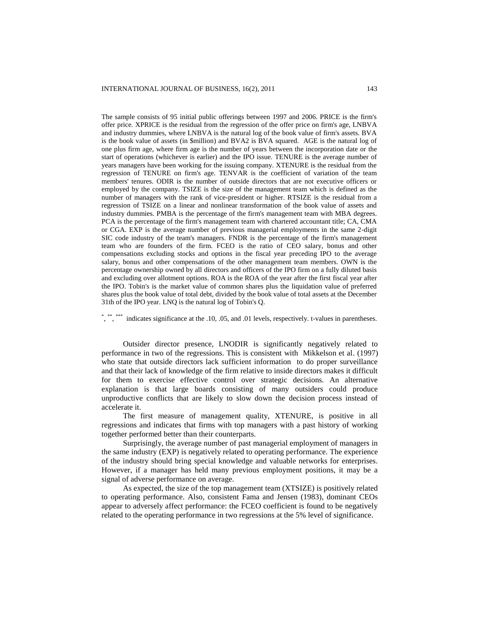The sample consists of 95 initial public offerings between 1997 and 2006. PRICE is the firm's offer price. XPRICE is the residual from the regression of the offer price on firm's age, LNBVA and industry dummies, where LNBVA is the natural log of the book value of firm's assets. BVA is the book value of assets (in \$million) and BVA2 is BVA squared. AGE is the natural log of one plus firm age, where firm age is the number of years between the incorporation date or the start of operations (whichever is earlier) and the IPO issue. TENURE is the average number of years managers have been working for the issuing company. XTENURE is the residual from the regression of TENURE on firm's age. TENVAR is the coefficient of variation of the team members' tenures. ODIR is the number of outside directors that are not executive officers or employed by the company. TSIZE is the size of the management team which is defined as the number of managers with the rank of vice-president or higher. RTSIZE is the residual from a regression of TSIZE on a linear and nonlinear transformation of the book value of assets and industry dummies. PMBA is the percentage of the firm's management team with MBA degrees. PCA is the percentage of the firm's management team with chartered accountant title; CA, CMA or CGA. EXP is the average number of previous managerial employments in the same 2-digit SIC code industry of the team's managers. FNDR is the percentage of the firm's management team who are founders of the firm. FCEO is the ratio of CEO salary, bonus and other compensations excluding stocks and options in the fiscal year preceding IPO to the average salary, bonus and other compensations of the other management team members. OWN is the percentage ownership owned by all directors and officers of the IPO firm on a fully diluted basis and excluding over allotment options. ROA is the ROA of the year after the first fiscal year after the IPO. Tobin's is the market value of common shares plus the liquidation value of preferred shares plus the book value of total debt, divided by the book value of total assets at the December 31th of the IPO year. LNQ is the natural log of Tobin's Q.

\* <sup>\*\*</sup>,<sup>\*\*\*\*\*</sup> indicates significance at the .10, .05, and .01 levels, respectively. t-values in parentheses.

Outsider director presence, LNODIR is significantly negatively related to performance in two of the regressions. This is consistent with Mikkelson et al. (1997) who state that outside directors lack sufficient information to do proper surveillance and that their lack of knowledge of the firm relative to inside directors makes it difficult for them to exercise effective control over strategic decisions. An alternative explanation is that large boards consisting of many outsiders could produce unproductive conflicts that are likely to slow down the decision process instead of accelerate it.

The first measure of management quality, XTENURE, is positive in all regressions and indicates that firms with top managers with a past history of working together performed better than their counterparts.

Surprisingly, the average number of past managerial employment of managers in the same industry (EXP) is negatively related to operating performance. The experience of the industry should bring special knowledge and valuable networks for enterprises. However, if a manager has held many previous employment positions, it may be a signal of adverse performance on average.

As expected, the size of the top management team (XTSIZE) is positively related to operating performance. Also, consistent Fama and Jensen (1983), dominant CEOs appear to adversely affect performance: the FCEO coefficient is found to be negatively related to the operating performance in two regressions at the 5% level of significance.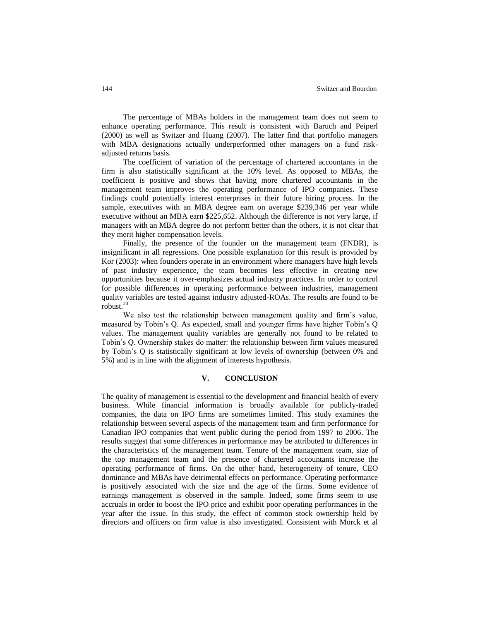The percentage of MBAs holders in the management team does not seem to enhance operating performance. This result is consistent with Baruch and Peiperl (2000) as well as Switzer and Huang (2007). The latter find that portfolio managers with MBA designations actually underperformed other managers on a fund riskadjusted returns basis.

The coefficient of variation of the percentage of chartered accountants in the firm is also statistically significant at the 10% level. As opposed to MBAs, the coefficient is positive and shows that having more chartered accountants in the management team improves the operating performance of IPO companies. These findings could potentially interest enterprises in their future hiring process. In the sample, executives with an MBA degree earn on average \$239,346 per year while executive without an MBA earn \$225,652. Although the difference is not very large, if managers with an MBA degree do not perform better than the others, it is not clear that they merit higher compensation levels.

Finally, the presence of the founder on the management team (FNDR), is insignificant in all regressions. One possible explanation for this result is provided by Kor (2003): when founders operate in an environment where managers have high levels of past industry experience, the team becomes less effective in creating new opportunities because it over-emphasizes actual industry practices. In order to control for possible differences in operating performance between industries, management quality variables are tested against industry adjusted-ROAs. The results are found to be robust. $20$ 

We also test the relationship between management quality and firm's value, measured by Tobin's Q. As expected, small and younger firms have higher Tobin's Q values. The management quality variables are generally not found to be related to Tobin's Q. Ownership stakes do matter: the relationship between firm values measured by Tobin's Q is statistically significant at low levels of ownership (between 0% and 5%) and is in line with the alignment of interests hypothesis.

#### **V. CONCLUSION**

The quality of management is essential to the development and financial health of every business. While financial information is broadly available for publicly-traded companies, the data on IPO firms are sometimes limited. This study examines the relationship between several aspects of the management team and firm performance for Canadian IPO companies that went public during the period from 1997 to 2006. The results suggest that some differences in performance may be attributed to differences in the characteristics of the management team. Tenure of the management team, size of the top management team and the presence of chartered accountants increase the operating performance of firms. On the other hand, heterogeneity of tenure, CEO dominance and MBAs have detrimental effects on performance. Operating performance is positively associated with the size and the age of the firms. Some evidence of earnings management is observed in the sample. Indeed, some firms seem to use accruals in order to boost the IPO price and exhibit poor operating performances in the year after the issue. In this study, the effect of common stock ownership held by directors and officers on firm value is also investigated. Consistent with Morck et al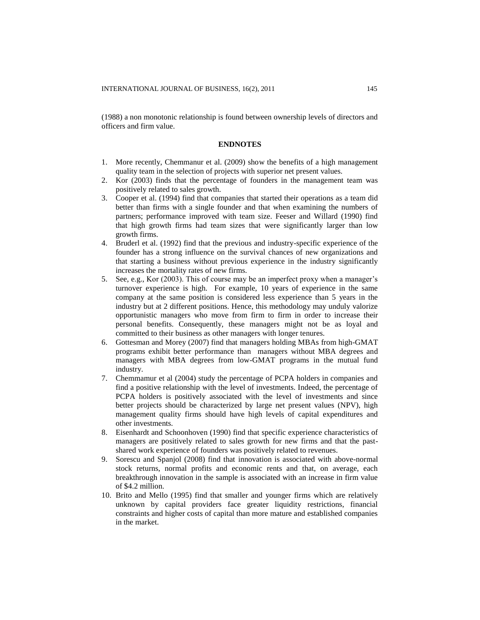(1988) a non monotonic relationship is found between ownership levels of directors and officers and firm value.

#### **ENDNOTES**

- 1. More recently, Chemmanur et al. (2009) show the benefits of a high management quality team in the selection of projects with superior net present values.
- 2. Kor (2003) finds that the percentage of founders in the management team was positively related to sales growth.
- 3. Cooper et al. (1994) find that companies that started their operations as a team did better than firms with a single founder and that when examining the numbers of partners; performance improved with team size. Feeser and Willard (1990) find that high growth firms had team sizes that were significantly larger than low growth firms.
- 4. Bruderl et al. (1992) find that the previous and industry-specific experience of the founder has a strong influence on the survival chances of new organizations and that starting a business without previous experience in the industry significantly increases the mortality rates of new firms.
- 5. See, e.g., Kor (2003). This of course may be an imperfect proxy when a manager's turnover experience is high. For example, 10 years of experience in the same company at the same position is considered less experience than 5 years in the industry but at 2 different positions. Hence, this methodology may unduly valorize opportunistic managers who move from firm to firm in order to increase their personal benefits. Consequently, these managers might not be as loyal and committed to their business as other managers with longer tenures.
- 6. Gottesman and Morey (2007) find that managers holding MBAs from high-GMAT programs exhibit better performance than managers without MBA degrees and managers with MBA degrees from low-GMAT programs in the mutual fund industry.
- 7. Chemmamur et al (2004) study the percentage of PCPA holders in companies and find a positive relationship with the level of investments. Indeed, the percentage of PCPA holders is positively associated with the level of investments and since better projects should be characterized by large net present values (NPV), high management quality firms should have high levels of capital expenditures and other investments.
- 8. Eisenhardt and Schoonhoven (1990) find that specific experience characteristics of managers are positively related to sales growth for new firms and that the pastshared work experience of founders was positively related to revenues.
- 9. Sorescu and Spanjol (2008) find that innovation is associated with above-normal stock returns, normal profits and economic rents and that, on average, each breakthrough innovation in the sample is associated with an increase in firm value of \$4.2 million.
- 10. Brito and Mello (1995) find that smaller and younger firms which are relatively unknown by capital providers face greater liquidity restrictions, financial constraints and higher costs of capital than more mature and established companies in the market.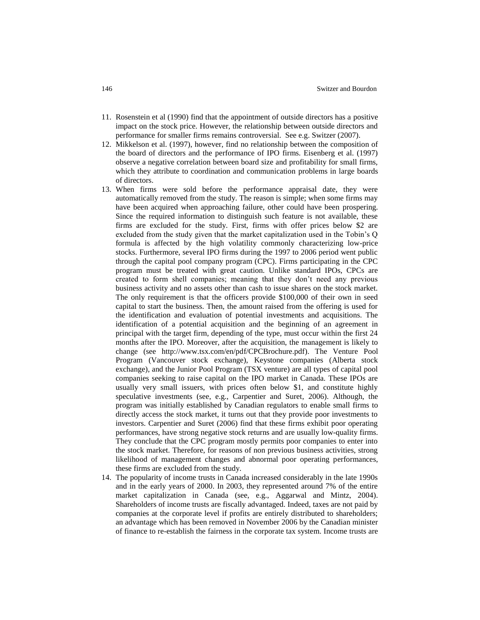- 11. Rosenstein et al (1990) find that the appointment of outside directors has a positive impact on the stock price. However, the relationship between outside directors and performance for smaller firms remains controversial. See e.g. Switzer (2007).
- 12. Mikkelson et al. (1997), however, find no relationship between the composition of the board of directors and the performance of IPO firms. Eisenberg et al. (1997) observe a negative correlation between board size and profitability for small firms, which they attribute to coordination and communication problems in large boards of directors.
- 13. When firms were sold before the performance appraisal date, they were automatically removed from the study. The reason is simple; when some firms may have been acquired when approaching failure, other could have been prospering. Since the required information to distinguish such feature is not available, these firms are excluded for the study. First, firms with offer prices below \$2 are excluded from the study given that the market capitalization used in the Tobin's Q formula is affected by the high volatility commonly characterizing low-price stocks. Furthermore, several IPO firms during the 1997 to 2006 period went public through the capital pool company program (CPC). Firms participating in the CPC program must be treated with great caution. Unlike standard IPOs, CPCs are created to form shell companies; meaning that they don't need any previous business activity and no assets other than cash to issue shares on the stock market. The only requirement is that the officers provide \$100,000 of their own in seed capital to start the business. Then, the amount raised from the offering is used for the identification and evaluation of potential investments and acquisitions. The identification of a potential acquisition and the beginning of an agreement in principal with the target firm, depending of the type, must occur within the first 24 months after the IPO. Moreover, after the acquisition, the management is likely to change (see [http://www.tsx.com/en/pdf/CPCBrochure.pdf\)](http://www.tsx.com/en/pdf/CPCBrochure.pdf). The Venture Pool Program (Vancouver stock exchange), Keystone companies (Alberta stock exchange), and the Junior Pool Program (TSX venture) are all types of capital pool companies seeking to raise capital on the IPO market in Canada. These IPOs are usually very small issuers, with prices often below \$1, and constitute highly speculative investments (see, e.g., Carpentier and Suret, 2006). Although, the program was initially established by Canadian regulators to enable small firms to directly access the stock market, it turns out that they provide poor investments to investors. Carpentier and Suret (2006) find that these firms exhibit poor operating performances, have strong negative stock returns and are usually low-quality firms. They conclude that the CPC program mostly permits poor companies to enter into the stock market. Therefore, for reasons of non previous business activities, strong likelihood of management changes and abnormal poor operating performances, these firms are excluded from the study.
- 14. The popularity of income trusts in Canada increased considerably in the late 1990s and in the early years of 2000. In 2003, they represented around 7% of the entire market capitalization in Canada (see, e.g., Aggarwal and Mintz, 2004). Shareholders of income trusts are fiscally advantaged. Indeed, taxes are not paid by companies at the corporate level if profits are entirely distributed to shareholders; an advantage which has been removed in November 2006 by the Canadian minister of finance to re-establish the fairness in the corporate tax system. Income trusts are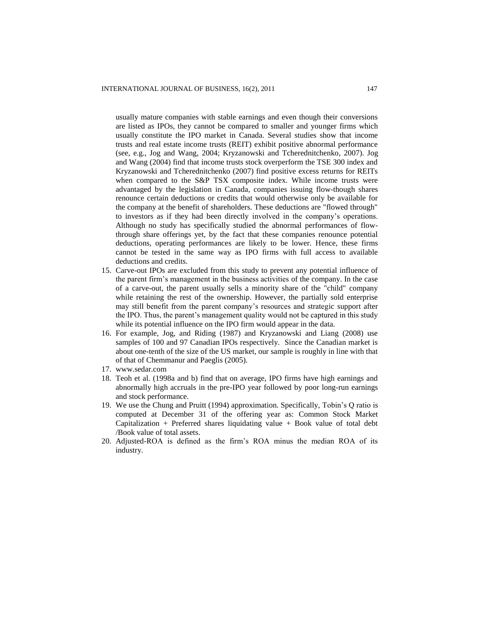usually mature companies with stable earnings and even though their conversions are listed as IPOs, they cannot be compared to smaller and younger firms which usually constitute the IPO market in Canada. Several studies show that income trusts and real estate income trusts (REIT) exhibit positive abnormal performance (see, e.g., Jog and Wang, 2004; Kryzanowski and Tcherednitchenko, 2007). Jog and Wang (2004) find that income trusts stock overperform the TSE 300 index and Kryzanowski and Tcherednitchenko (2007) find positive excess returns for REITs when compared to the S&P TSX composite index. While income trusts were advantaged by the legislation in Canada, companies issuing flow-though shares renounce certain deductions or credits that would otherwise only be available for the company at the benefit of shareholders. These deductions are "flowed through" to investors as if they had been directly involved in the company's operations. Although no study has specifically studied the abnormal performances of flowthrough share offerings yet, by the fact that these companies renounce potential deductions, operating performances are likely to be lower. Hence, these firms cannot be tested in the same way as IPO firms with full access to available deductions and credits.

- 15. Carve-out IPOs are excluded from this study to prevent any potential influence of the parent firm's management in the business activities of the company. In the case of a carve-out, the parent usually sells a minority share of the "child" company while retaining the rest of the ownership. However, the partially sold enterprise may still benefit from the parent company's resources and strategic support after the IPO. Thus, the parent's management quality would not be captured in this study while its potential influence on the IPO firm would appear in the data.
- 16. For example, Jog, and Riding (1987) and Kryzanowski and Liang (2008) use samples of 100 and 97 Canadian IPOs respectively. Since the Canadian market is about one-tenth of the size of the US market, our sample is roughly in line with that of that of Chemmanur and Paeglis (2005).
- 17. [www.sedar.com](http://www.sedar.com/)
- 18. Teoh et al. (1998a and b) find that on average, IPO firms have high earnings and abnormally high accruals in the pre-IPO year followed by poor long-run earnings and stock performance.
- 19. We use the Chung and Pruitt (1994) approximation. Specifically, Tobin's Q ratio is computed at December 31 of the offering year as: Common Stock Market Capitalization + Preferred shares liquidating value + Book value of total debt /Book value of total assets.
- 20. Adjusted-ROA is defined as the firm's ROA minus the median ROA of its industry.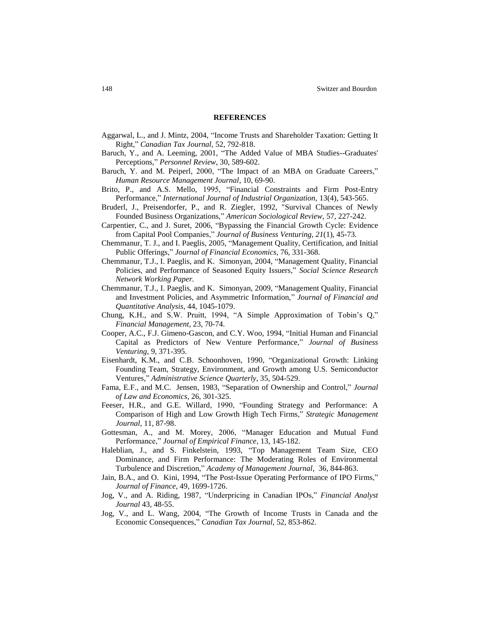#### **REFERENCES**

- Aggarwal, L., and J. Mintz, 2004, ["Income Trusts and Shareholder Taxation: Getting It](http://0-proquest.umi.com.mercury.concordia.ca/pqdweb?index=0&did=773808081&SrchMode=2&sid=7&Fmt=3&VInst=PROD&VType=PQD&RQT=309&VName=PQD&TS=1247101701&clientId=10306)  [Right,](http://0-proquest.umi.com.mercury.concordia.ca/pqdweb?index=0&did=773808081&SrchMode=2&sid=7&Fmt=3&VInst=PROD&VType=PQD&RQT=309&VName=PQD&TS=1247101701&clientId=10306)" *Canadian Tax Journal,* 52, 792-818.
- Baruch, Y., and A. Leeming, 2001, "The Added Value of MBA Studies--Graduates' Perceptions," *Personnel Review*, 30, 589-602.
- Baruch, Y. and M. Peiperl, 2000, "The Impact of an MBA on Graduate Careers," *Human Resource Management Journal*, 10, 69-90.
- Brito, P., and A.S. Mello, 1995, "Financial Constraints and Firm Post-Entry Performance," *International Journal of Industrial Organization*, 13(4), 543-565.
- Bruderl, J., Preisendorfer, P., and R. Ziegler, 1992, "Survival Chances of Newly Founded Business Organizations," *American Sociological Review*, 57, 227-242.
- Carpentier, C., and J. Suret, 2006, "Bypassing the Financial Growth Cycle: Evidence from Capital Pool Companies," *Journal of Business Venturing, 21*(1), 45-73.
- Chemmanur, T. J., and I. Paeglis, 2005, "Management Quality, Certification, and Initial Public Offerings," *Journal of Financial Economics*, 76, 331-368.
- Chemmanur, T.J., I. Paeglis, and K. Simonyan, 2004, "Management Quality, Financial Policies, and Performance of Seasoned Equity Issuers," *Social Science Research Network Working Paper.*
- Chemmanur, T.J., I. Paeglis, and K. Simonyan, 2009, "Management Quality, Financial and Investment Policies, and Asymmetric Information," *Journal of Financial and Quantitative Analysis*, 44, 1045-1079.
- Chung, K.H., and S.W. Pruitt, 1994, "A Simple Approximation of Tobin's Q," *Financial Management*, 23, 70-74.
- Cooper, A.C., F.J. Gimeno-Gascon, and C.Y. Woo, 1994, "Initial Human and Financial Capital as Predictors of New Venture Performance," *Journal of Business Venturing*, 9, 371-395.
- Eisenhardt, K.M., and C.B. Schoonhoven, 1990, "Organizational Growth: Linking Founding Team, Strategy, Environment, and Growth among U.S. Semiconductor Ventures," *Administrative Science Quarterly*, 35, 504-529.
- Fama, E.F., and M.C. Jensen, 1983, "Separation of Ownership and Control," *Journal of Law and Economics*, 26, 301-325.
- Feeser, H.R., and G.E. Willard, 1990, "Founding Strategy and Performance: A Comparison of High and Low Growth High Tech Firms," *Strategic Management Journal*, 11, 87-98.
- Gottesman, A., and M. Morey, 2006, "Manager Education and Mutual Fund Performance," *Journal of Empirical Finance*, 13, 145-182.
- Haleblian, J., and S. Finkelstein, 1993, "Top Management Team Size, CEO Dominance, and Firm Performance: The Moderating Roles of Environmental Turbulence and Discretion," *Academy of Management Journal*, 36, 844-863.
- Jain, B.A., and O. Kini, 1994, "The Post-Issue Operating Performance of IPO Firms," *Journal of Finance*, 49, 1699-1726.
- Jog, V., and A. Riding, 1987, "Underpricing in Canadian IPOs," *Financial Analyst Journal* 43*,* 48-55.
- Jog, V., and L. Wang, 2004, ["The Growth of Income Trusts in Canada and the](http://0-proquest.umi.com.mercury.concordia.ca/pqdweb?index=0&did=769745951&SrchMode=2&sid=8&Fmt=3&VInst=PROD&VType=PQD&RQT=309&VName=PQD&TS=1247101833&clientId=10306)  [Economic Consequences,](http://0-proquest.umi.com.mercury.concordia.ca/pqdweb?index=0&did=769745951&SrchMode=2&sid=8&Fmt=3&VInst=PROD&VType=PQD&RQT=309&VName=PQD&TS=1247101833&clientId=10306)" *Canadian Tax Journal*, 52, 853-862.